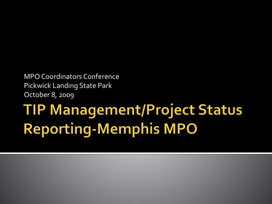MPO Coordinators Conference Pickwick Landing State Park October 8, 2009

## **TIP Management/Project Status Reporting-Memphis MPO**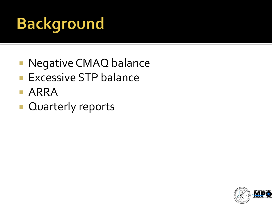# **Background**

- **Negative CMAQ balance**
- **Excessive STP balance**
- **ARRA**
- **Quarterly reports**

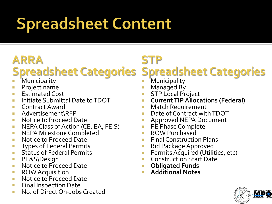# **Spreadsheet Content**

### **ARRA**

### **Spreadsheet Categories Spreadsheet Categories**

- **Municipality**
- **Project name**
- **Estimated Cost**
- **Initiate Submittal Date to TDOT**
- **Contract Award**
- **Advertisement\RFP**
- **Notice to Proceed Date**
- **NEPA Class of Action (CE, EA, FEIS)**
- **NEPA Milestone Completed**
- **Notice to Proceed Date**
- **Types of Federal Permits**
- **Status of Federal Permits**
- **PE&S\Design**
- **Notice to Proceed Date**
- **ROW Acquisition**
- **Notice to Proceed Date**
- **Final Inspection Date**
- **No. of Direct On-Jobs Created**

#### **STP**

#### **Municipality**

- Managed By
- **STP Local Project**
- **E** Current TIP Allocations (Federal)
- **Natch Requirement**
- **Date of Contract with TDOT**
- **Approved NEPA Document**
- **PE Phase Complete**
- **ROW Purchased**
- **Final Construction Plans**
- **Bid Package Approved**
- **Permits Acquired (Utilities, etc)**
- **Construction Start Date**
- **Obligated Funds**
- **Additional Notes**

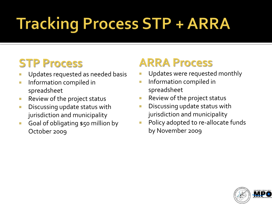# **Tracking Process STP + ARRA**

## **STP Process**

- Updates requested as needed basis
- **Information compiled in** spreadsheet
- **Review of the project status**
- **Discussing update status with** jurisdiction and municipality
- Goal of obligating \$50 million by October 2009

### **ARRA Process**

- Updates were requested monthly
- **Information compiled in** spreadsheet
- **Review of the project status**
- **Discussing update status with** jurisdiction and municipality
- **Policy adopted to re-allocate funds** by November 2009

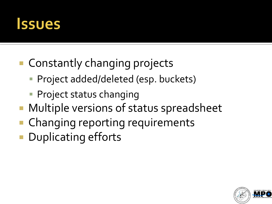

- Constantly changing projects
	- Project added/deleted (esp. buckets)
	- **Project status changing**
- Multiple versions of status spreadsheet
- **Changing reporting requirements**
- **Duplicating efforts**